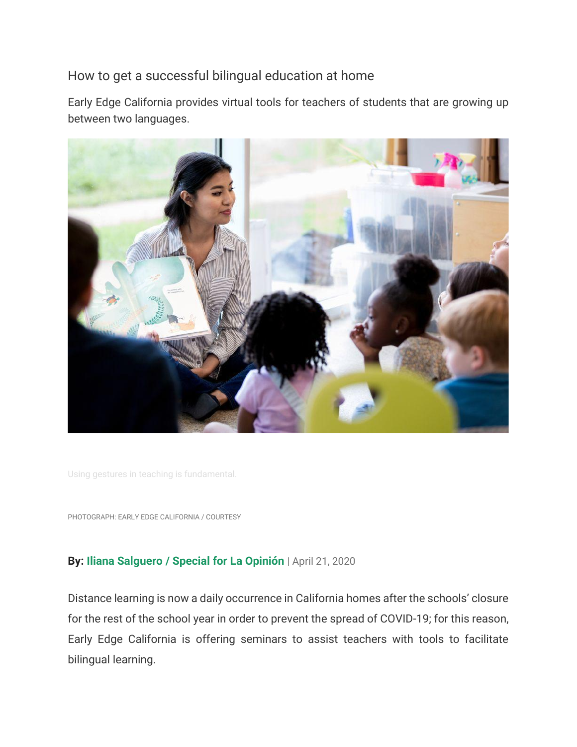## How to get a successful bilingual education at home

Early Edge California provides virtual tools for teachers of students that are growing up between two languages.



Using gestures in teaching is fundamental.

PHOTOGRAPH: EARLY EDGE CALIFORNIA / COURTESY

## **By: Iliana Salguero / Special for La Opinión** | April 21, 2020

Distance learning is now a daily occurrence in California homes after the schools' closure for the rest of the school year in order to prevent the spread of COVID-19; for this reason, Early Edge California is offering seminars to assist teachers with tools to facilitate bilingual learning.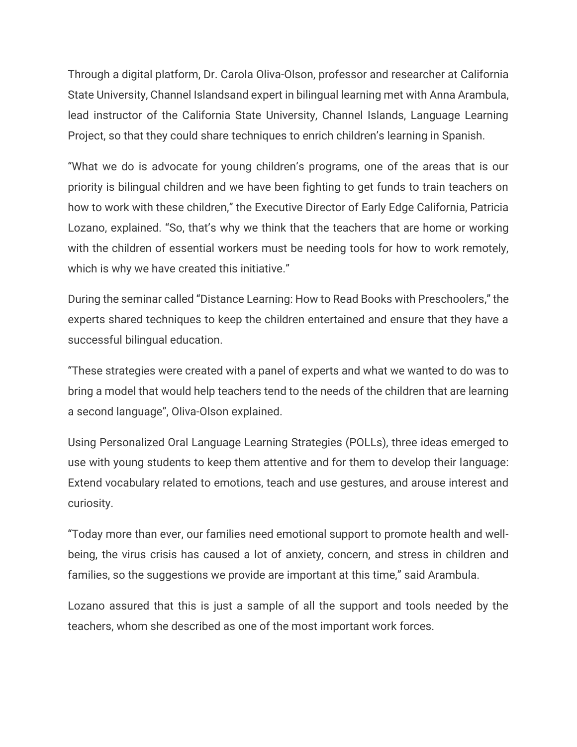Through a digital platform, Dr. Carola Oliva-Olson, professor and researcher at California State University, Channel Islandsand expert in bilingual learning met with Anna Arambula, lead instructor of the California State University, Channel Islands, Language Learning Project, so that they could share techniques to enrich children's learning in Spanish.

"What we do is advocate for young children's programs, one of the areas that is our priority is bilingual children and we have been fighting to get funds to train teachers on how to work with these children," the Executive Director of Early Edge California, Patricia Lozano, explained. "So, that's why we think that the teachers that are home or working with the children of essential workers must be needing tools for how to work remotely, which is why we have created this initiative."

During the seminar called "Distance Learning: How to Read Books with Preschoolers," the experts shared techniques to keep the children entertained and ensure that they have a successful bilingual education.

"These strategies were created with a panel of experts and what we wanted to do was to bring a model that would help teachers tend to the needs of the children that are learning a second language", Oliva-Olson explained.

Using Personalized Oral Language Learning Strategies (POLLs), three ideas emerged to use with young students to keep them attentive and for them to develop their language: Extend vocabulary related to emotions, teach and use gestures, and arouse interest and curiosity.

"Today more than ever, our families need emotional support to promote health and wellbeing, the virus crisis has caused a lot of anxiety, concern, and stress in children and families, so the suggestions we provide are important at this time," said Arambula.

Lozano assured that this is just a sample of all the support and tools needed by the teachers, whom she described as one of the most important work forces.